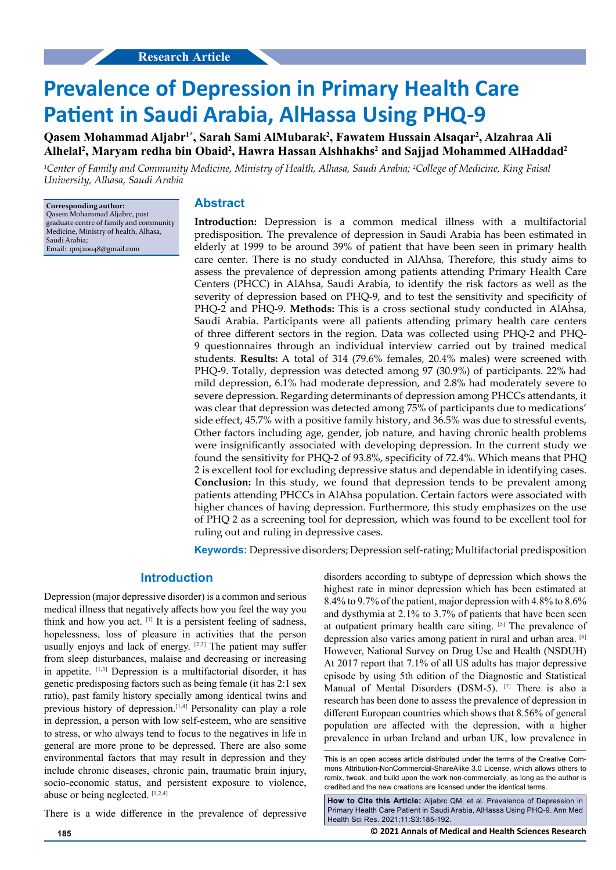# **Prevalence of Depression in Primary Health Care Patient in Saudi Arabia, AlHassa Using PHQ-9**

**Qasem Mohammad Aljabr'\*, Sarah Sami AlMubarak<sup>2</sup>, Fawatem Hussain Alsaqar<sup>2</sup>, Alzahraa Ali** Alhelal<sup>2</sup>, Maryam redha bin Obaid<sup>2</sup>, Hawra Hassan Alshhakhs<sup>2</sup> and Sajjad Mohammed AlHaddad<sup>2</sup>

*1 Center of Family and Community Medicine, Ministry of Health, Alhasa, Saudi Arabia; 2 College of Medicine, King Faisal University, Alhasa, Saudi Arabia*

**Corresponding author:** Qasem Mohammad Aljabrc, post graduate centre of family and community Medicine, Ministry of health, Alhasa, Saudi Arabia; Email: [qmj20048@gmail.com](mailto:qmj20048@gmail.com) 

# **Abstract**

**Introduction:** Depression is a common medical illness with a multifactorial predisposition. The prevalence of depression in Saudi Arabia has been estimated in elderly at 1999 to be around 39% of patient that have been seen in primary health care center. There is no study conducted in AlAhsa, Therefore, this study aims to assess the prevalence of depression among patients attending Primary Health Care Centers (PHCC) in AlAhsa, Saudi Arabia, to identify the risk factors as well as the severity of depression based on PHQ-9, and to test the sensitivity and specificity of PHQ-2 and PHQ-9. **Methods:** This is a cross sectional study conducted in AlAhsa, Saudi Arabia. Participants were all patients attending primary health care centers of three different sectors in the region. Data was collected using PHQ-2 and PHQ-9 questionnaires through an individual interview carried out by trained medical students. **Results:** A total of 314 (79.6% females, 20.4% males) were screened with PHQ-9. Totally, depression was detected among 97 (30.9%) of participants. 22% had mild depression, 6.1% had moderate depression, and 2.8% had moderately severe to severe depression. Regarding determinants of depression among PHCCs attendants, it was clear that depression was detected among 75% of participants due to medications' side effect, 45.7% with a positive family history, and 36.5% was due to stressful events, Other factors including age, gender, job nature, and having chronic health problems were insignificantly associated with developing depression. In the current study we found the sensitivity for PHQ-2 of 93.8%, specificity of 72.4%. Which means that PHQ 2 is excellent tool for excluding depressive status and dependable in identifying cases. **Conclusion:** In this study, we found that depression tends to be prevalent among patients attending PHCCs in AlAhsa population. Certain factors were associated with higher chances of having depression. Furthermore, this study emphasizes on the use of PHQ 2 as a screening tool for depression, which was found to be excellent tool for ruling out and ruling in depressive cases.

**Keywords:** Depressive disorders; Depression self-rating; Multifactorial predisposition

# **Introduction**

Depression (major depressive disorder) is a common and serious medical illness that negatively affects how you feel the way you think and how you act. [1] It is a persistent feeling of sadness, hopelessness, loss of pleasure in activities that the person usually enjoys and lack of energy. [2,3] The patient may suffer from sleep disturbances, malaise and decreasing or increasing in appetite. [1,3] Depression is a multifactorial disorder, it has genetic predisposing factors such as being female (it has 2:1 sex ratio), past family history specially among identical twins and previous history of depression.<sup>[1,4]</sup> Personality can play a role in depression, a person with low self-esteem, who are sensitive to stress, or who always tend to focus to the negatives in life in general are more prone to be depressed. There are also some environmental factors that may result in depression and they include chronic diseases, chronic pain, traumatic brain injury, socio-economic status, and persistent exposure to violence, abuse or being neglected. [1,2,4]

There is a wide difference in the prevalence of depressive

disorders according to subtype of depression which shows the highest rate in minor depression which has been estimated at 8.4% to 9.7% of the patient, major depression with 4.8% to 8.6% and dysthymia at 2.1% to 3.7% of patients that have been seen at outpatient primary health care siting. [5] The prevalence of depression also varies among patient in rural and urban area. [6] However, National Survey on Drug Use and Health (NSDUH) At 2017 report that 7.1% of all US adults has major depressive episode by using 5th edition of the Diagnostic and Statistical Manual of Mental Disorders (DSM-5). [7] There is also a research has been done to assess the prevalence of depression in different European countries which shows that 8.56% of general population are affected with the depression, with a higher prevalence in urban Ireland and urban UK, low prevalence in

This is an open access article distributed under the terms of the Creative Commons Attribution-NonCommercial-ShareAlike 3.0 License, which allows others to remix, tweak, and build upon the work non‑commercially, as long as the author is credited and the new creations are licensed under the identical terms.

**How to Cite this Article:** Aljabrc QM, et al. Prevalence of Depression in Primary Health Care Patient in Saudi Arabia, AlHassa Using PHQ-9. Ann Med Health Sci Res. 2021;11:S3:185-192.

**185 © 2021 Annals of Medical and Health Sciences Research**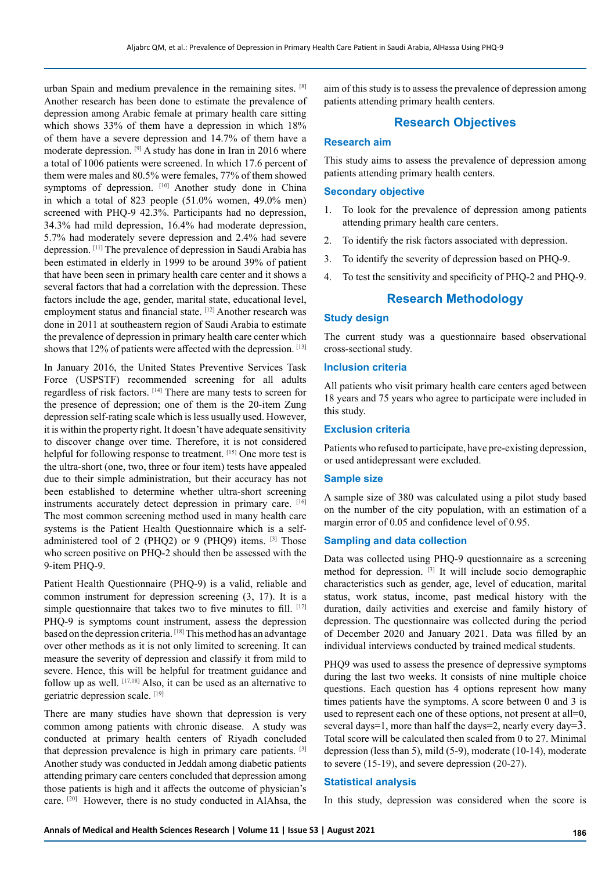urban Spain and medium prevalence in the remaining sites. [8] Another research has been done to estimate the prevalence of depression among Arabic female at primary health care sitting which shows 33% of them have a depression in which 18% of them have a severe depression and 14.7% of them have a moderate depression. [9] A study has done in Iran in 2016 where a total of 1006 patients were screened. In which 17.6 percent of them were males and 80.5% were females, 77% of them showed symptoms of depression. [10] Another study done in China in which a total of 823 people (51.0% women, 49.0% men) screened with PHQ-9 42.3%. Participants had no depression, 34.3% had mild depression, 16.4% had moderate depression, 5.7% had moderately severe depression and 2.4% had severe depression. [11] The prevalence of depression in Saudi Arabia has been estimated in elderly in 1999 to be around 39% of patient that have been seen in primary health care center and it shows a several factors that had a correlation with the depression. These factors include the age, gender, marital state, educational level, employment status and financial state. [12] Another research was done in 2011 at southeastern region of Saudi Arabia to estimate the prevalence of depression in primary health care center which shows that 12% of patients were affected with the depression. [13]

In January 2016, the United States Preventive Services Task Force (USPSTF) recommended screening for all adults regardless of risk factors. [14] There are many tests to screen for the presence of depression; one of them is the 20-item Zung depression self-rating scale which is less usually used. However, it is within the property right. It doesn't have adequate sensitivity to discover change over time. Therefore, it is not considered helpful for following response to treatment. [15] One more test is the ultra-short (one, two, three or four item) tests have appealed due to their simple administration, but their accuracy has not been established to determine whether ultra-short screening instruments accurately detect depression in primary care. [16] The most common screening method used in many health care systems is the Patient Health Questionnaire which is a selfadministered tool of 2 (PHQ2) or 9 (PHQ9) items. [3] Those who screen positive on PHQ-2 should then be assessed with the 9-item PHQ-9.

Patient Health Questionnaire (PHQ-9) is a valid, reliable and common instrument for depression screening (3, 17). It is a simple questionnaire that takes two to five minutes to fill.  $[17]$ PHQ-9 is symptoms count instrument, assess the depression based on the depression criteria. [18] This method has an advantage over other methods as it is not only limited to screening. It can measure the severity of depression and classify it from mild to severe. Hence, this will be helpful for treatment guidance and follow up as well.  $[17,18]$  Also, it can be used as an alternative to geriatric depression scale. [19]

There are many studies have shown that depression is very common among patients with chronic disease. A study was conducted at primary health centers of Riyadh concluded that depression prevalence is high in primary care patients. [3] Another study was conducted in Jeddah among diabetic patients attending primary care centers concluded that depression among those patients is high and it affects the outcome of physician's care. [20] However, there is no study conducted in AlAhsa, the

aim of this study is to assess the prevalence of depression among patients attending primary health centers.

# **Research Objectives**

# **Research aim**

This study aims to assess the prevalence of depression among patients attending primary health centers.

## **Secondary objective**

- 1. To look for the prevalence of depression among patients attending primary health care centers.
- 2. To identify the risk factors associated with depression.
- 3. To identify the severity of depression based on PHQ-9.
- 4. To test the sensitivity and specificity of PHQ-2 and PHQ-9.

# **Research Methodology**

## **Study design**

The current study was a questionnaire based observational cross-sectional study.

## **Inclusion criteria**

All patients who visit primary health care centers aged between 18 years and 75 years who agree to participate were included in this study.

## **Exclusion criteria**

Patients who refused to participate, have pre-existing depression, or used antidepressant were excluded.

## **Sample size**

A sample size of 380 was calculated using a pilot study based on the number of the city population, with an estimation of a margin error of 0.05 and confidence level of 0.95.

## **Sampling and data collection**

Data was collected using PHQ-9 questionnaire as a screening method for depression. [3] It will include socio demographic characteristics such as gender, age, level of education, marital status, work status, income, past medical history with the duration, daily activities and exercise and family history of depression. The questionnaire was collected during the period of December 2020 and January 2021. Data was filled by an individual interviews conducted by trained medical students.

PHQ9 was used to assess the presence of depressive symptoms during the last two weeks. It consists of nine multiple choice questions. Each question has 4 options represent how many times patients have the symptoms. A score between 0 and 3 is used to represent each one of these options, not present at all=0, several days=1, more than half the days=2, nearly every day=3. Total score will be calculated then scaled from 0 to 27. Minimal depression (less than 5), mild (5-9), moderate (10-14), moderate to severe (15-19), and severe depression (20-27).

#### **Statistical analysis**

In this study, depression was considered when the score is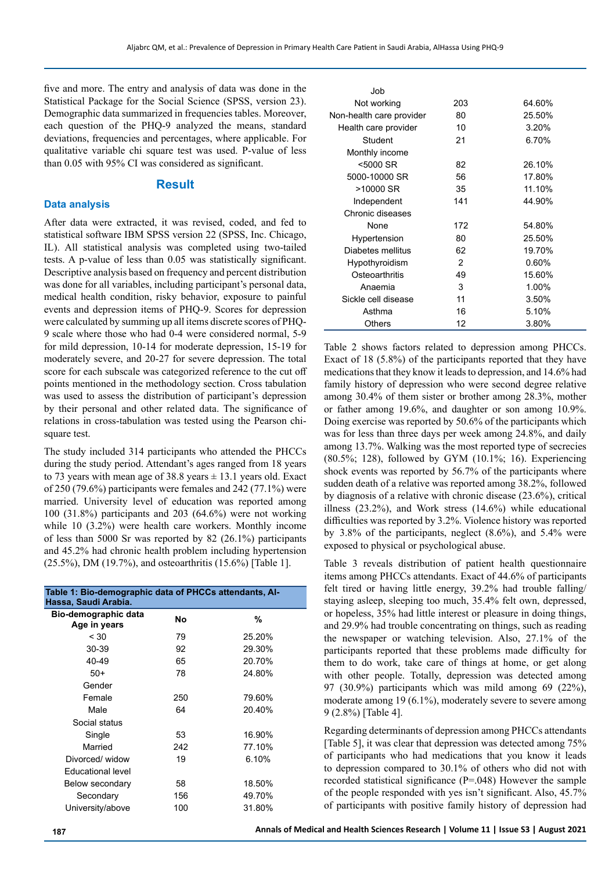five and more. The entry and analysis of data was done in the Statistical Package for the Social Science (SPSS, version 23). Demographic data summarized in frequencies tables. Moreover, each question of the PHQ-9 analyzed the means, standard deviations, frequencies and percentages, where applicable. For qualitative variable chi square test was used. P-value of less than 0.05 with 95% CI was considered as significant.

## **Result**

## **Data analysis**

After data were extracted, it was revised, coded, and fed to statistical software IBM SPSS version 22 (SPSS, Inc. Chicago, IL). All statistical analysis was completed using two-tailed tests. A p-value of less than 0.05 was statistically significant. Descriptive analysis based on frequency and percent distribution was done for all variables, including participant's personal data, medical health condition, risky behavior, exposure to painful events and depression items of PHQ-9. Scores for depression were calculated by summing up all items discrete scores of PHQ-9 scale where those who had 0-4 were considered normal, 5-9 for mild depression, 10-14 for moderate depression, 15-19 for moderately severe, and 20-27 for severe depression. The total score for each subscale was categorized reference to the cut off points mentioned in the methodology section. Cross tabulation was used to assess the distribution of participant's depression by their personal and other related data. The significance of relations in cross-tabulation was tested using the Pearson chisquare test.

The study included 314 participants who attended the PHCCs during the study period. Attendant's ages ranged from 18 years to 73 years with mean age of 38.8 years  $\pm$  13.1 years old. Exact of 250 (79.6%) participants were females and 242 (77.1%) were married. University level of education was reported among 100 (31.8%) participants and 203 (64.6%) were not working while 10 (3.2%) were health care workers. Monthly income of less than 5000 Sr was reported by 82 (26.1%) participants and 45.2% had chronic health problem including hypertension (25.5%), DM (19.7%), and osteoarthritis (15.6%) [Table 1].

| Table 1: Bio-demographic data of PHCCs attendants, Al-<br>Hassa, Saudi Arabia. |     |        |  |  |  |  |
|--------------------------------------------------------------------------------|-----|--------|--|--|--|--|
| Bio-demographic data<br>Age in years                                           | No  | %      |  |  |  |  |
| < 30                                                                           | 79  | 25.20% |  |  |  |  |
| 30-39                                                                          | 92  | 29.30% |  |  |  |  |
| 40-49                                                                          | 65  | 20.70% |  |  |  |  |
| $50+$                                                                          | 78  | 24.80% |  |  |  |  |
| Gender                                                                         |     |        |  |  |  |  |
| Female                                                                         | 250 | 79.60% |  |  |  |  |
| Male                                                                           | 64  | 20.40% |  |  |  |  |
| Social status                                                                  |     |        |  |  |  |  |
| Single                                                                         | 53  | 16.90% |  |  |  |  |
| Married                                                                        | 242 | 77.10% |  |  |  |  |
| Divorced/widow                                                                 | 19  | 6.10%  |  |  |  |  |
| <b>Fducational level</b>                                                       |     |        |  |  |  |  |
| Below secondary                                                                | 58  | 18.50% |  |  |  |  |
| Secondary                                                                      | 156 | 49.70% |  |  |  |  |
| University/above                                                               | 100 | 31.80% |  |  |  |  |

| .Job                     |               |        |
|--------------------------|---------------|--------|
| Not working              | 203           | 64.60% |
| Non-health care provider | 80            | 25.50% |
| Health care provider     | 10            | 3.20%  |
| Student                  | 21            | 6.70%  |
| Monthly income           |               |        |
| <5000 SR                 | 82            | 26.10% |
| 5000-10000 SR            | 56            | 17.80% |
| >10000 SR                | 35            | 11.10% |
| Independent              | 141           | 44.90% |
| Chronic diseases         |               |        |
| None                     | 172           | 54.80% |
| Hypertension             | 80            | 25.50% |
| Diabetes mellitus        | 62            | 19.70% |
| Hypothyroidism           | $\mathcal{P}$ | 0.60%  |
| Osteoarthritis           | 49            | 15.60% |
| Anaemia                  | 3             | 1.00%  |
| Sickle cell disease      | 11            | 3.50%  |
| Asthma                   | 16            | 5.10%  |
| Others                   | 12            | 3.80%  |
|                          |               |        |

Table 2 shows factors related to depression among PHCCs. Exact of 18 (5.8%) of the participants reported that they have medications that they know it leads to depression, and 14.6% had family history of depression who were second degree relative among 30.4% of them sister or brother among 28.3%, mother or father among 19.6%, and daughter or son among 10.9%. Doing exercise was reported by 50.6% of the participants which was for less than three days per week among 24.8%, and daily among 13.7%. Walking was the most reported type of secrecies (80.5%; 128), followed by GYM (10.1%; 16). Experiencing shock events was reported by 56.7% of the participants where sudden death of a relative was reported among 38.2%, followed by diagnosis of a relative with chronic disease (23.6%), critical illness (23.2%), and Work stress (14.6%) while educational difficulties was reported by 3.2%. Violence history was reported by 3.8% of the participants, neglect (8.6%), and 5.4% were exposed to physical or psychological abuse.

Table 3 reveals distribution of patient health questionnaire items among PHCCs attendants. Exact of 44.6% of participants felt tired or having little energy, 39.2% had trouble falling/ staying asleep, sleeping too much, 35.4% felt own, depressed, or hopeless, 35% had little interest or pleasure in doing things, and 29.9% had trouble concentrating on things, such as reading the newspaper or watching television. Also, 27.1% of the participants reported that these problems made difficulty for them to do work, take care of things at home, or get along with other people. Totally, depression was detected among 97 (30.9%) participants which was mild among 69 (22%), moderate among 19 (6.1%), moderately severe to severe among 9 (2.8%) [Table 4].

Regarding determinants of depression among PHCCs attendants [Table 5], it was clear that depression was detected among 75% of participants who had medications that you know it leads to depression compared to 30.1% of others who did not with recorded statistical significance (P=.048) However the sample of the people responded with yes isn't significant. Also, 45.7% of participants with positive family history of depression had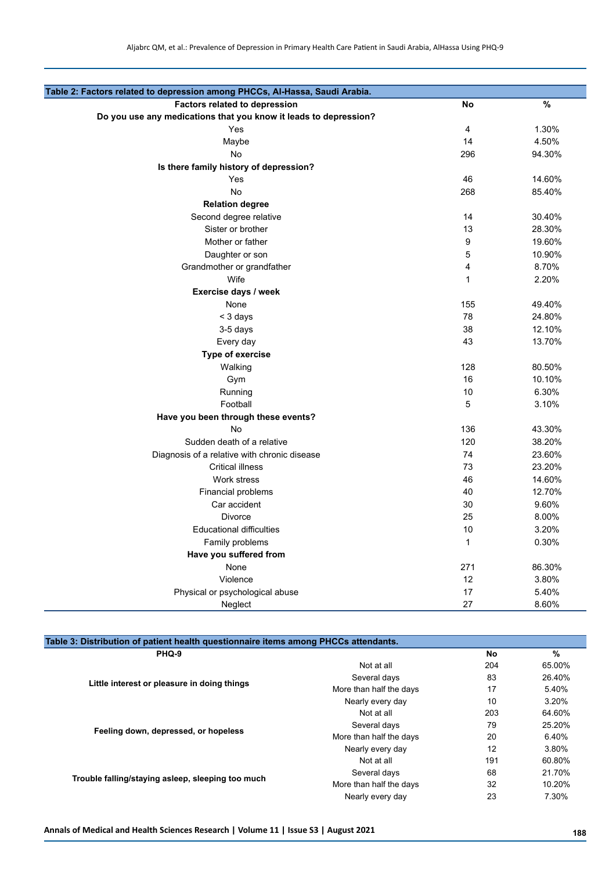| Table 2: Factors related to depression among PHCCs, Al-Hassa, Saudi Arabia. |     |               |
|-----------------------------------------------------------------------------|-----|---------------|
| <b>Factors related to depression</b>                                        | No  | $\frac{9}{6}$ |
| Do you use any medications that you know it leads to depression?            |     |               |
| Yes                                                                         | 4   | 1.30%         |
| Maybe                                                                       | 14  | 4.50%         |
| No                                                                          | 296 | 94.30%        |
| Is there family history of depression?                                      |     |               |
| Yes                                                                         | 46  | 14.60%        |
| <b>No</b>                                                                   | 268 | 85.40%        |
| <b>Relation degree</b>                                                      |     |               |
| Second degree relative                                                      | 14  | 30.40%        |
| Sister or brother                                                           | 13  | 28.30%        |
| Mother or father                                                            | 9   | 19.60%        |
| Daughter or son                                                             | 5   | 10.90%        |
| Grandmother or grandfather                                                  | 4   | 8.70%         |
| Wife                                                                        | 1   | 2.20%         |
| Exercise days / week                                                        |     |               |
| None                                                                        | 155 | 49.40%        |
| < 3 days                                                                    | 78  | 24.80%        |
| 3-5 days                                                                    | 38  | 12.10%        |
| Every day                                                                   | 43  | 13.70%        |
| <b>Type of exercise</b>                                                     |     |               |
| Walking                                                                     | 128 | 80.50%        |
| Gym                                                                         | 16  | 10.10%        |
| Running                                                                     | 10  | 6.30%         |
| Football                                                                    | 5   | 3.10%         |
| Have you been through these events?                                         |     |               |
| <b>No</b>                                                                   | 136 | 43.30%        |
| Sudden death of a relative                                                  | 120 | 38.20%        |
| Diagnosis of a relative with chronic disease                                | 74  | 23.60%        |
| <b>Critical illness</b>                                                     | 73  | 23.20%        |
| Work stress                                                                 | 46  | 14.60%        |
| Financial problems                                                          | 40  | 12.70%        |
| Car accident                                                                | 30  | 9.60%         |
| <b>Divorce</b>                                                              | 25  | 8.00%         |
| <b>Educational difficulties</b>                                             | 10  | 3.20%         |
| Family problems                                                             | 1   | 0.30%         |
| Have you suffered from                                                      |     |               |
| None                                                                        | 271 | 86.30%        |
| Violence                                                                    | 12  | 3.80%         |
| Physical or psychological abuse                                             | 17  | 5.40%         |
| Neglect                                                                     | 27  | 8.60%         |

| Table 3: Distribution of patient health questionnaire items among PHCCs attendants. |                         |     |               |  |  |
|-------------------------------------------------------------------------------------|-------------------------|-----|---------------|--|--|
| PHQ-9                                                                               |                         | No  | $\frac{9}{6}$ |  |  |
|                                                                                     | Not at all              | 204 | 65.00%        |  |  |
| Little interest or pleasure in doing things                                         | Several days            | 83  | 26.40%        |  |  |
|                                                                                     | More than half the days | 17  | 5.40%         |  |  |
|                                                                                     | Nearly every day        | 10  | 3.20%         |  |  |
|                                                                                     | Not at all              | 203 | 64.60%        |  |  |
|                                                                                     | Several days            | 79  | 25.20%        |  |  |
| Feeling down, depressed, or hopeless                                                | More than half the days | 20  | 6.40%         |  |  |
|                                                                                     | Nearly every day        | 12  | 3.80%         |  |  |
|                                                                                     | Not at all              | 191 | 60.80%        |  |  |
|                                                                                     | Several days            | 68  | 21.70%        |  |  |
| Trouble falling/staying asleep, sleeping too much                                   | More than half the days | 32  | 10.20%        |  |  |
|                                                                                     | Nearly every day        | 23  | 7.30%         |  |  |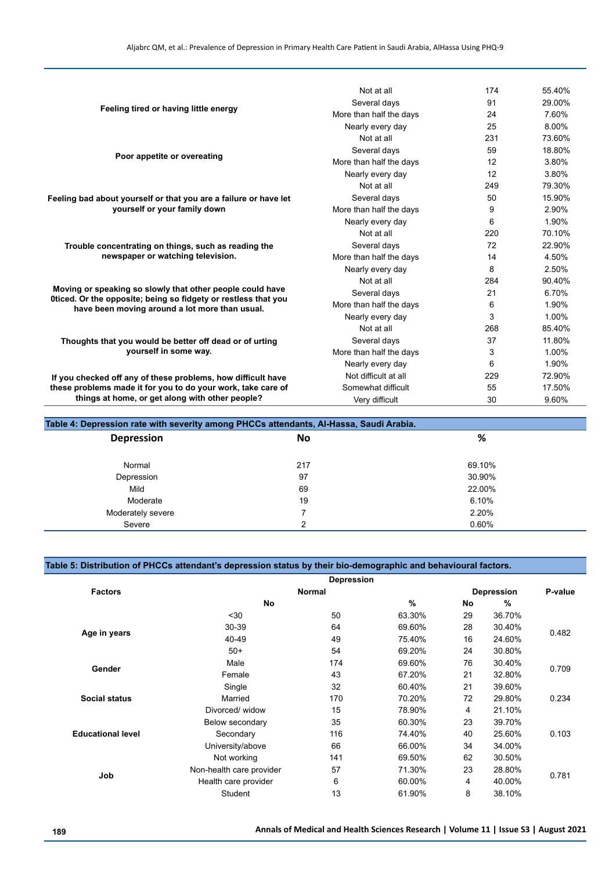|                                                                                                                             | Not at all              | 174 | 55.40% |
|-----------------------------------------------------------------------------------------------------------------------------|-------------------------|-----|--------|
|                                                                                                                             | Several davs            | 91  | 29.00% |
| Feeling tired or having little energy                                                                                       | More than half the days | 24  | 7.60%  |
|                                                                                                                             | Nearly every day        | 25  | 8.00%  |
|                                                                                                                             | Not at all              | 231 | 73.60% |
|                                                                                                                             | Several days            | 59  | 18.80% |
| Poor appetite or overeating                                                                                                 | More than half the days | 12  | 3.80%  |
|                                                                                                                             | Nearly every day        | 12  | 3.80%  |
|                                                                                                                             | Not at all              | 249 | 79.30% |
| Feeling bad about yourself or that you are a failure or have let                                                            | Several days            | 50  | 15.90% |
| yourself or your family down                                                                                                | More than half the days | 9   | 2.90%  |
|                                                                                                                             | Nearly every day        | 6   | 1.90%  |
|                                                                                                                             | Not at all              | 220 | 70.10% |
| Trouble concentrating on things, such as reading the                                                                        | Several days            | 72  | 22.90% |
| newspaper or watching television.                                                                                           | More than half the days | 14  | 4.50%  |
|                                                                                                                             | Nearly every day        | 8   | 2.50%  |
|                                                                                                                             | Not at all              | 284 | 90.40% |
| Moving or speaking so slowly that other people could have<br>Oticed. Or the opposite; being so fidgety or restless that you | Several days            | 21  | 6.70%  |
| have been moving around a lot more than usual.                                                                              | More than half the days | 6   | 1.90%  |
|                                                                                                                             | Nearly every day        | 3   | 1.00%  |
|                                                                                                                             | Not at all              | 268 | 85.40% |
| Thoughts that you would be better off dead or of urting                                                                     | Several days            | 37  | 11.80% |
| yourself in some way.                                                                                                       | More than half the days | 3   | 1.00%  |
|                                                                                                                             | Nearly every day        | 6   | 1.90%  |
| If you checked off any of these problems, how difficult have                                                                | Not difficult at all    | 229 | 72.90% |
| these problems made it for you to do your work, take care of                                                                | Somewhat difficult      | 55  | 17.50% |
| things at home, or get along with other people?                                                                             | Very difficult          | 30  | 9.60%  |

## **Table 4: Depression rate with severity among PHCCs attendants, Al-Hassa, Saudi Arabia.**

| -<br>. .<br><b>Depression</b> | . .<br>No | %      |
|-------------------------------|-----------|--------|
| Normal                        | 217       | 69.10% |
| Depression                    | 97        | 30.90% |
| Mild                          | 69        | 22.00% |
| Moderate                      | 19        | 6.10%  |
| Moderately severe             |           | 2.20%  |
| Severe                        | ົ         | 0.60%  |

# **Table 5: Distribution of PHCCs attendant's depression status by their bio-demographic and behavioural factors.**

|                          |                          | Depression    |        |    |                   |         |
|--------------------------|--------------------------|---------------|--------|----|-------------------|---------|
| <b>Factors</b>           |                          | <b>Normal</b> |        |    | <b>Depression</b> | P-value |
|                          | No                       |               | $\%$   | No | %                 |         |
|                          | $30$                     | 50            | 63.30% | 29 | 36.70%            |         |
|                          | 30-39                    | 64            | 69.60% | 28 | 30.40%            | 0.482   |
| Age in years             | 40-49                    | 49            | 75.40% | 16 | 24.60%            |         |
|                          | $50+$                    | 54            | 69.20% | 24 | 30.80%            |         |
| Gender                   | Male                     | 174           | 69.60% | 76 | 30.40%            | 0.709   |
|                          | Female                   | 43            | 67.20% | 21 | 32.80%            |         |
|                          | Single                   | 32            | 60.40% | 21 | 39.60%            |         |
| <b>Social status</b>     | Married                  | 170           | 70.20% | 72 | 29.80%            | 0.234   |
|                          | Divorced/widow           | 15            | 78.90% | 4  | 21.10%            |         |
|                          | Below secondary          | 35            | 60.30% | 23 | 39.70%            |         |
| <b>Educational level</b> | Secondary                | 116           | 74.40% | 40 | 25.60%            | 0.103   |
|                          | University/above         | 66            | 66.00% | 34 | 34.00%            |         |
|                          | Not working              | 141           | 69.50% | 62 | 30.50%            |         |
|                          | Non-health care provider | 57            | 71.30% | 23 | 28.80%            |         |
| Job                      | Health care provider     | 6             | 60.00% | 4  | 40.00%            | 0.781   |
|                          | Student                  | 13            | 61.90% | 8  | 38.10%            |         |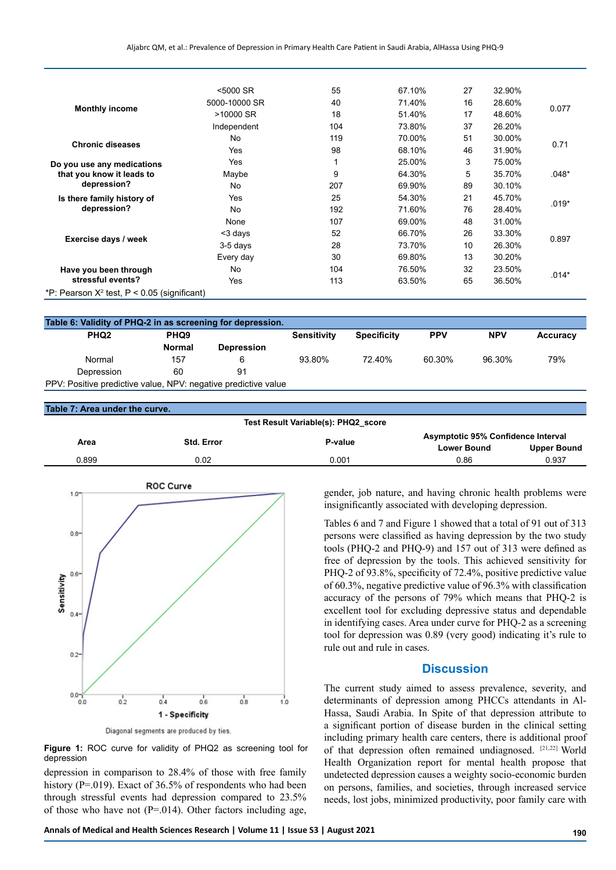|                                                | <5000 SR      | 55  | 67.10% | 27 | 32.90% |         |
|------------------------------------------------|---------------|-----|--------|----|--------|---------|
|                                                | 5000-10000 SR | 40  | 71.40% | 16 | 28.60% |         |
| <b>Monthly income</b>                          | >10000 SR     | 18  | 51.40% | 17 | 48.60% | 0.077   |
|                                                | Independent   | 104 | 73.80% | 37 | 26.20% |         |
| <b>Chronic diseases</b>                        | No            | 119 | 70.00% | 51 | 30.00% | 0.71    |
|                                                | <b>Yes</b>    | 98  | 68.10% | 46 | 31.90% |         |
| Do you use any medications                     | Yes           |     | 25.00% | 3  | 75.00% |         |
| that you know it leads to                      | Maybe         | 9   | 64.30% | 5  | 35.70% | $.048*$ |
| depression?                                    | No            | 207 | 69.90% | 89 | 30.10% |         |
| Is there family history of                     | Yes           | 25  | 54.30% | 21 | 45.70% |         |
| depression?                                    | No            | 192 | 71.60% | 76 | 28.40% | $.019*$ |
|                                                | None          | 107 | 69.00% | 48 | 31.00% |         |
|                                                | <3 days       | 52  | 66.70% | 26 | 33.30% |         |
| Exercise days / week                           | 3-5 days      | 28  | 73.70% | 10 | 26.30% | 0.897   |
|                                                | Every day     | 30  | 69.80% | 13 | 30.20% |         |
| Have you been through                          | No            | 104 | 76.50% | 32 | 23.50% |         |
| stressful events?                              | Yes           | 113 | 63.50% | 65 | 36.50% | $.014*$ |
| *P: Pearson $X^2$ test, P < 0.05 (significant) |               |     |        |    |        |         |

| Table 6: Validity of PHQ-2 in as screening for depression.     |                  |                   |                    |                    |            |            |          |
|----------------------------------------------------------------|------------------|-------------------|--------------------|--------------------|------------|------------|----------|
| PHQ <sub>2</sub>                                               | PHQ <sub>9</sub> |                   | <b>Sensitivity</b> | <b>Specificity</b> | <b>PPV</b> | <b>NPV</b> | Accuracy |
|                                                                | Normal           | <b>Depression</b> |                    |                    |            |            |          |
| Normal                                                         | 157              |                   | 93.80%             | 72.40%             | 60.30%     | 96.30%     | 79%      |
| Depression                                                     | 60               | 91                |                    |                    |            |            |          |
| PPV: Positive predictive value, NPV: negative predictive value |                  |                   |                    |                    |            |            |          |

#### **Table 7: Area under the curve.**

#### **Test Result Variable(s): PHQ2\_score**

|       | Std. Error |         | <b>Asymptotic 95% Confidence Interval</b> |             |
|-------|------------|---------|-------------------------------------------|-------------|
| Area  |            | P-value | <b>Lower Bound</b>                        | Upper Bound |
| 0.899 | 0.02       | 0.001   | 0.86                                      | 0.937       |



Diagonal segments are produced by ties.

**Figure 1:** ROC curve for validity of PHQ2 as screening tool for depression

depression in comparison to 28.4% of those with free family history (P=.019). Exact of 36.5% of respondents who had been through stressful events had depression compared to 23.5% of those who have not ( $P = 014$ ). Other factors including age,

gender, job nature, and having chronic health problems were insignificantly associated with developing depression.

Tables 6 and 7 and Figure 1 showed that a total of 91 out of 313 persons were classified as having depression by the two study tools (PHQ-2 and PHQ-9) and 157 out of 313 were defined as free of depression by the tools. This achieved sensitivity for PHQ-2 of 93.8%, specificity of 72.4%, positive predictive value of 60.3%, negative predictive value of 96.3% with classification accuracy of the persons of 79% which means that PHQ-2 is excellent tool for excluding depressive status and dependable in identifying cases. Area under curve for PHQ-2 as a screening tool for depression was 0.89 (very good) indicating it's rule to rule out and rule in cases.

# **Discussion**

The current study aimed to assess prevalence, severity, and determinants of depression among PHCCs attendants in Al-Hassa, Saudi Arabia. In Spite of that depression attribute to a significant portion of disease burden in the clinical setting including primary health care centers, there is additional proof of that depression often remained undiagnosed. [21,22] World Health Organization report for mental health propose that undetected depression causes a weighty socio-economic burden on persons, families, and societies, through increased service needs, lost jobs, minimized productivity, poor family care with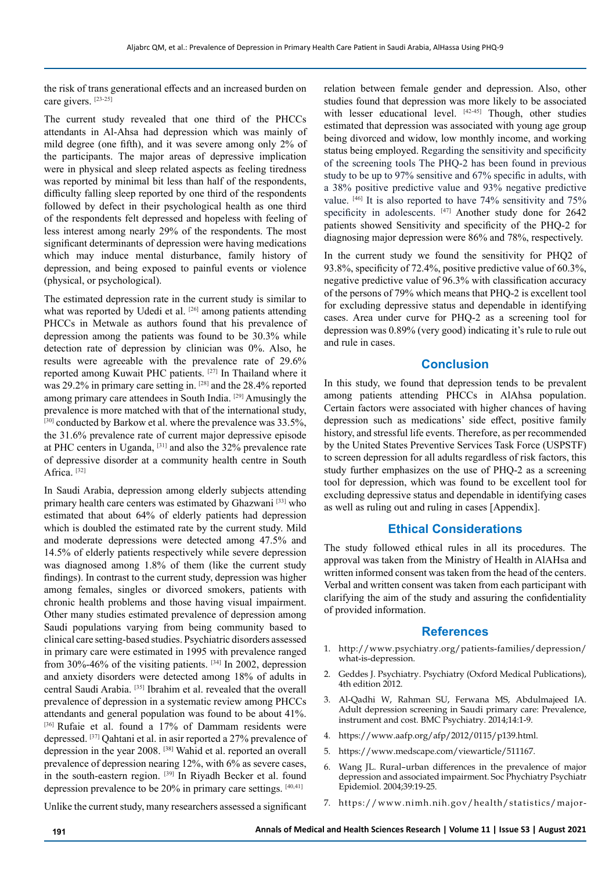the risk of trans generational effects and an increased burden on care givers. [23-25]

The current study revealed that one third of the PHCCs attendants in Al-Ahsa had depression which was mainly of mild degree (one fifth), and it was severe among only 2% of the participants. The major areas of depressive implication were in physical and sleep related aspects as feeling tiredness was reported by minimal bit less than half of the respondents, difficulty falling sleep reported by one third of the respondents followed by defect in their psychological health as one third of the respondents felt depressed and hopeless with feeling of less interest among nearly 29% of the respondents. The most significant determinants of depression were having medications which may induce mental disturbance, family history of depression, and being exposed to painful events or violence (physical, or psychological).

The estimated depression rate in the current study is similar to what was reported by Udedi et al. [26] among patients attending PHCCs in Metwale as authors found that his prevalence of depression among the patients was found to be 30.3% while detection rate of depression by clinician was 0%. Also, he results were agreeable with the prevalence rate of 29.6% reported among Kuwait PHC patients. [[27](https://www.ncbi.nlm.nih.gov/pmc/articles/PMC4141239/#R15)] In Thailand where it was 29.2% in primary care setting in. [28] and the 28.4% reported among primary care attendees in South India. [29] Amusingly the prevalence is more matched with that of the international study, [\[30](https://www.ncbi.nlm.nih.gov/pmc/articles/PMC4141239/#R18)] conducted by Barkow et al. where the prevalence was 33.5%, the 31.6% prevalence rate of current major depressive episode at PHC centers in Uganda, [[31](https://www.ncbi.nlm.nih.gov/pmc/articles/PMC4141239/#R10)] and also the 32% prevalence rate of depressive disorder at a community health centre in South Africa.<sup>[[32\]](https://www.ncbi.nlm.nih.gov/pmc/articles/PMC4141239/#R14)</sup>

In Saudi Arabia, depression among elderly subjects attending primary health care centers was estimated by Ghazwani [33] who estimated that about 64% of elderly patients had depression which is doubled the estimated rate by the current study. Mild and moderate depressions were detected among 47.5% and 14.5% of elderly patients respectively while severe depression was diagnosed among 1.8% of them (like the current study findings). In contrast to the current study, depression was higher among females, singles or divorced smokers, patients with chronic health problems and those having visual impairment. Other many studies estimated prevalence of depression among Saudi populations varying from being community based to clinical care setting-based studies. Psychiatric disorders assessed in primary care were estimated in 1995 with prevalence ranged from 30%-46% of the visiting patients.  $[34]$  In 2002, depression and anxiety disorders were detected among 18% of adults in central Saudi Arabia. [35] Ibrahim et al. revealed that the overall prevalence of depression in a systematic review among PHCCs attendants and general population was found to be about 41%. [36] Rufaie et al. found a 17% of Dammam residents were depressed. [37] Qahtani et al. in asir reported a 27% prevalence of depression in the year 2008. [38] Wahid et al. reported an overall prevalence of depression nearing 12%, with 6% as severe cases, in the south-eastern region. <sup>[39]</sup> In Riyadh Becker et al. found depression prevalence to be  $20\%$  in primary care settings.  $[40,41]$ 

relation between female gender and depression. Also, other studies found that depression was more likely to be associated with lesser educational level. [42-45] Though, other studies estimated that depression was associated with young age group being divorced and widow, low monthly income, and working status being employed. Regarding the sensitivity and specificity of the screening tools The PHQ-2 has been found in previous study to be up to 97% sensitive and 67% specific in adults, with a 38% positive predictive value and 93% negative predictive value. [46] It is also reported to have 74% sensitivity and 75% specificity in adolescents. [47] Another study done for 2642 patients showed Sensitivity and specificity of the PHQ-2 for diagnosing major depression were 86% and 78%, respectively.

In the current study we found the sensitivity for PHQ2 of 93.8%, specificity of 72.4%, positive predictive value of 60.3%, negative predictive value of 96.3% with classification accuracy of the persons of 79% which means that PHQ-2 is excellent tool for excluding depressive status and dependable in identifying cases. Area under curve for PHQ-2 as a screening tool for depression was 0.89% (very good) indicating it's rule to rule out and rule in cases.

# **Conclusion**

In this study, we found that depression tends to be prevalent among patients attending PHCCs in AlAhsa population. Certain factors were associated with higher chances of having depression such as medications' side effect, positive family history, and stressful life events. Therefore, as per recommended by the United States Preventive Services Task Force (USPSTF) to screen depression for all adults regardless of risk factors, this study further emphasizes on the use of PHQ-2 as a screening tool for depression, which was found to be excellent tool for excluding depressive status and dependable in identifying cases as well as ruling out and ruling in cases [Appendix].

# **Ethical Considerations**

The study followed ethical rules in all its procedures. The approval was taken from the Ministry of Health in AlAHsa and written informed consent was taken from the head of the centers. Verbal and written consent was taken from each participant with clarifying the aim of the study and assuring the confidentiality of provided information.

# **References**

- 1. [http://www.psychiatry.org/patients-families/depression/](http://www.psychiatry.org/patients-families/depression/what-is-depression) [what-is-depression](http://www.psychiatry.org/patients-families/depression/what-is-depression).
- 2. Geddes J. Psychiatry. Psychiatry (Oxford Medical Publications), 4th edition 2012.
- 3. Al-Qadhi W, Rahman SU, Ferwana MS, Abdulmajeed IA. Adult depression screening in Saudi primary care: Prevalence, instrument and cost. BMC Psychiatry. 2014;14:1-9.
- 4. <https://www.aafp.org/afp/2012/0115/p139.html>.
- 5. https://www.medscape.com/viewarticle/511167.
- 6. Wang JL. Rural–urban differences in the prevalence of major depression and associated impairment. Soc Phychiatry Psychiatr Epidemiol. 2004;39:19-25.
- 7. https://www.nimh.nih.gov/health/statistics/major-

Unlike the current study, many researchers assessed a significant